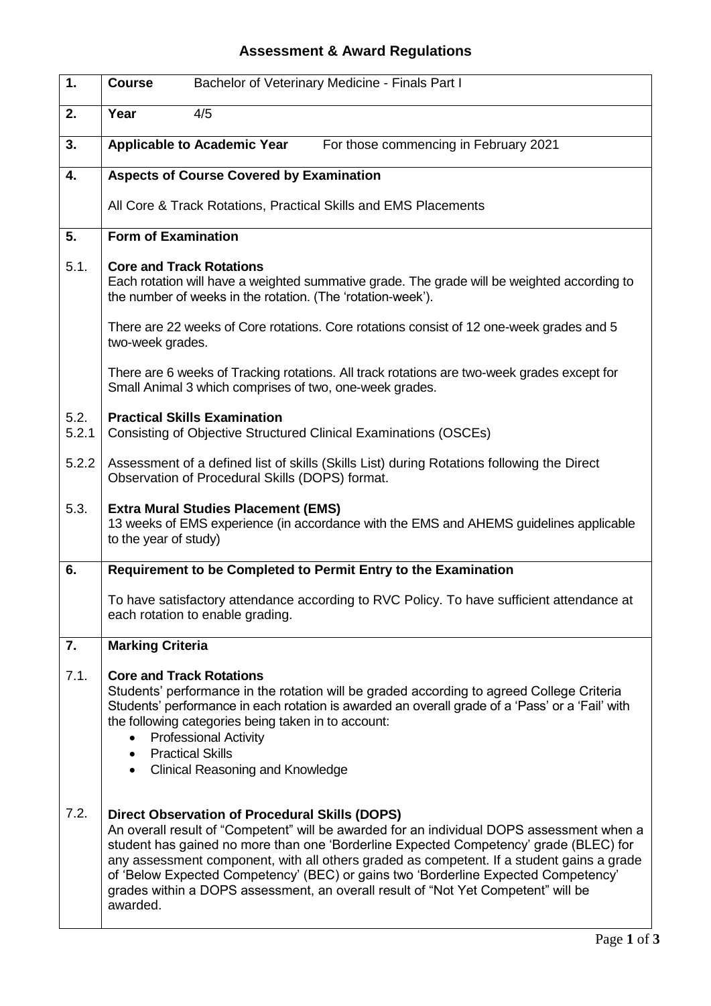## **Assessment & Award Regulations**

| 1.            | Bachelor of Veterinary Medicine - Finals Part I<br><b>Course</b>                                                                                                                                                                                                                                                                                                                                                                                                                                                                |
|---------------|---------------------------------------------------------------------------------------------------------------------------------------------------------------------------------------------------------------------------------------------------------------------------------------------------------------------------------------------------------------------------------------------------------------------------------------------------------------------------------------------------------------------------------|
| 2.            | Year<br>4/5                                                                                                                                                                                                                                                                                                                                                                                                                                                                                                                     |
| 3.            | <b>Applicable to Academic Year</b><br>For those commencing in February 2021                                                                                                                                                                                                                                                                                                                                                                                                                                                     |
| 4.            | <b>Aspects of Course Covered by Examination</b>                                                                                                                                                                                                                                                                                                                                                                                                                                                                                 |
|               | All Core & Track Rotations, Practical Skills and EMS Placements                                                                                                                                                                                                                                                                                                                                                                                                                                                                 |
| 5.            | <b>Form of Examination</b>                                                                                                                                                                                                                                                                                                                                                                                                                                                                                                      |
| 5.1.          | <b>Core and Track Rotations</b><br>Each rotation will have a weighted summative grade. The grade will be weighted according to<br>the number of weeks in the rotation. (The 'rotation-week').                                                                                                                                                                                                                                                                                                                                   |
|               | There are 22 weeks of Core rotations. Core rotations consist of 12 one-week grades and 5<br>two-week grades.                                                                                                                                                                                                                                                                                                                                                                                                                    |
|               | There are 6 weeks of Tracking rotations. All track rotations are two-week grades except for<br>Small Animal 3 which comprises of two, one-week grades.                                                                                                                                                                                                                                                                                                                                                                          |
| 5.2.<br>5.2.1 | <b>Practical Skills Examination</b><br>Consisting of Objective Structured Clinical Examinations (OSCEs)                                                                                                                                                                                                                                                                                                                                                                                                                         |
| 5.2.2         | Assessment of a defined list of skills (Skills List) during Rotations following the Direct<br>Observation of Procedural Skills (DOPS) format.                                                                                                                                                                                                                                                                                                                                                                                   |
| 5.3.          | <b>Extra Mural Studies Placement (EMS)</b><br>13 weeks of EMS experience (in accordance with the EMS and AHEMS guidelines applicable<br>to the year of study)                                                                                                                                                                                                                                                                                                                                                                   |
| 6.            | Requirement to be Completed to Permit Entry to the Examination                                                                                                                                                                                                                                                                                                                                                                                                                                                                  |
|               | To have satisfactory attendance according to RVC Policy. To have sufficient attendance at<br>each rotation to enable grading.                                                                                                                                                                                                                                                                                                                                                                                                   |
| 7.            | <b>Marking Criteria</b>                                                                                                                                                                                                                                                                                                                                                                                                                                                                                                         |
| 7.1.          | <b>Core and Track Rotations</b><br>Students' performance in the rotation will be graded according to agreed College Criteria<br>Students' performance in each rotation is awarded an overall grade of a 'Pass' or a 'Fail' with<br>the following categories being taken in to account:<br><b>Professional Activity</b><br><b>Practical Skills</b><br>$\bullet$<br><b>Clinical Reasoning and Knowledge</b><br>$\bullet$                                                                                                          |
| 7.2.          | <b>Direct Observation of Procedural Skills (DOPS)</b><br>An overall result of "Competent" will be awarded for an individual DOPS assessment when a<br>student has gained no more than one 'Borderline Expected Competency' grade (BLEC) for<br>any assessment component, with all others graded as competent. If a student gains a grade<br>of 'Below Expected Competency' (BEC) or gains two 'Borderline Expected Competency'<br>grades within a DOPS assessment, an overall result of "Not Yet Competent" will be<br>awarded. |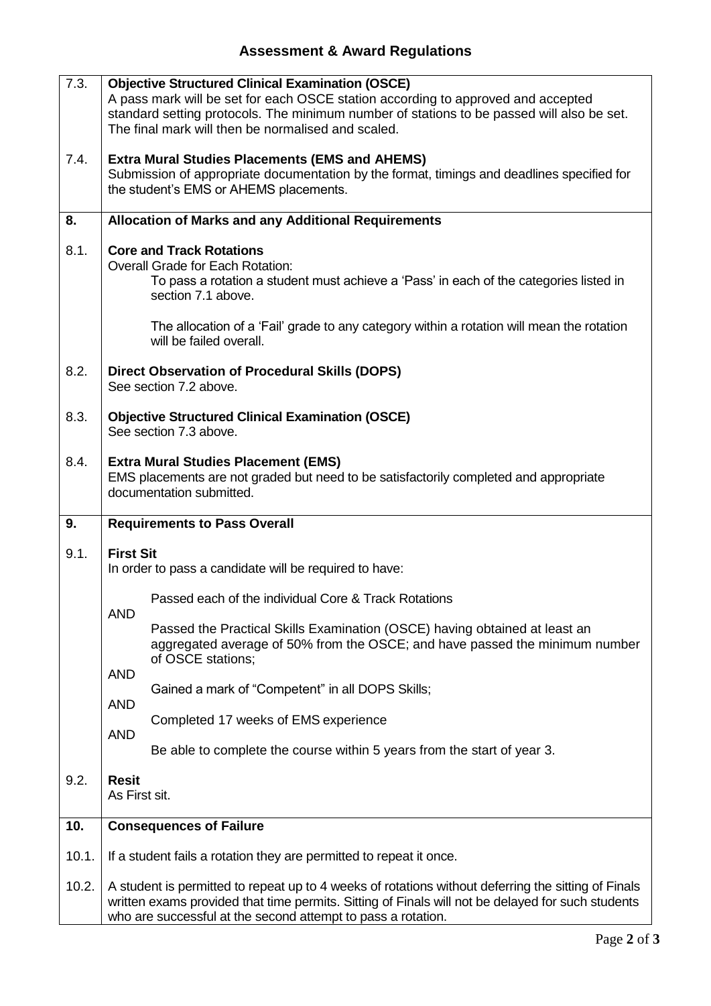## **Assessment & Award Regulations**

| 7.3.  | <b>Objective Structured Clinical Examination (OSCE)</b><br>A pass mark will be set for each OSCE station according to approved and accepted<br>standard setting protocols. The minimum number of stations to be passed will also be set.<br>The final mark will then be normalised and scaled. |
|-------|------------------------------------------------------------------------------------------------------------------------------------------------------------------------------------------------------------------------------------------------------------------------------------------------|
| 7.4.  | <b>Extra Mural Studies Placements (EMS and AHEMS)</b><br>Submission of appropriate documentation by the format, timings and deadlines specified for<br>the student's EMS or AHEMS placements.                                                                                                  |
| 8.    | <b>Allocation of Marks and any Additional Requirements</b>                                                                                                                                                                                                                                     |
| 8.1.  | <b>Core and Track Rotations</b><br><b>Overall Grade for Each Rotation:</b><br>To pass a rotation a student must achieve a 'Pass' in each of the categories listed in<br>section 7.1 above.                                                                                                     |
|       | The allocation of a 'Fail' grade to any category within a rotation will mean the rotation<br>will be failed overall.                                                                                                                                                                           |
| 8.2.  | <b>Direct Observation of Procedural Skills (DOPS)</b><br>See section 7.2 above.                                                                                                                                                                                                                |
| 8.3.  | <b>Objective Structured Clinical Examination (OSCE)</b><br>See section 7.3 above.                                                                                                                                                                                                              |
| 8.4.  | <b>Extra Mural Studies Placement (EMS)</b><br>EMS placements are not graded but need to be satisfactorily completed and appropriate<br>documentation submitted.                                                                                                                                |
| 9.    | <b>Requirements to Pass Overall</b>                                                                                                                                                                                                                                                            |
| 9.1.  | <b>First Sit</b><br>In order to pass a candidate will be required to have:                                                                                                                                                                                                                     |
|       | Passed each of the individual Core & Track Rotations<br><b>AND</b>                                                                                                                                                                                                                             |
|       | Passed the Practical Skills Examination (OSCE) having obtained at least an<br>aggregated average of 50% from the OSCE; and have passed the minimum number<br>of OSCE stations;                                                                                                                 |
|       | <b>AND</b><br>Gained a mark of "Competent" in all DOPS Skills;                                                                                                                                                                                                                                 |
|       | <b>AND</b>                                                                                                                                                                                                                                                                                     |
|       | Completed 17 weeks of EMS experience<br><b>AND</b>                                                                                                                                                                                                                                             |
|       | Be able to complete the course within 5 years from the start of year 3.                                                                                                                                                                                                                        |
| 9.2.  | <b>Resit</b><br>As First sit.                                                                                                                                                                                                                                                                  |
|       |                                                                                                                                                                                                                                                                                                |
| 10.   | <b>Consequences of Failure</b>                                                                                                                                                                                                                                                                 |
| 10.1. | If a student fails a rotation they are permitted to repeat it once.                                                                                                                                                                                                                            |